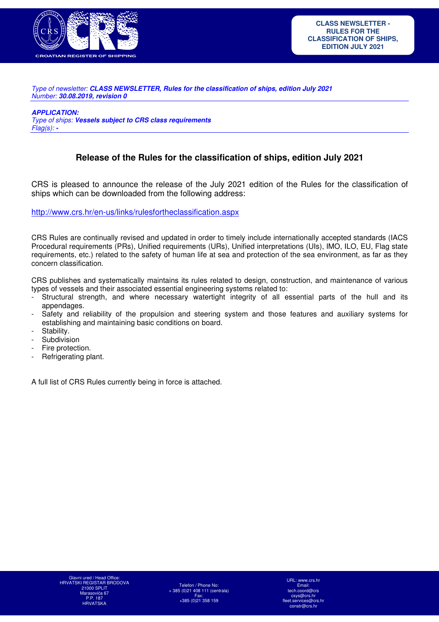

Type of newsletter: *CLASS NEWSLETTER, Rules for the classification of ships, edition July 2021* Number: *30.08.2019, revision 0* 

*APPLICATION:* 

Type of ships: *Vessels subject to CRS class requirements*  Flag(s): *-*

# **Release of the Rules for the classification of ships, edition July 2021**

CRS is pleased to announce the release of the July 2021 edition of the Rules for the classification of ships which can be downloaded from the following address:

http://www.crs.hr/en-us/links/rulesfortheclassification.aspx

CRS Rules are continually revised and updated in order to timely include internationally accepted standards (IACS Procedural requirements (PRs), Unified requirements (URs), Unified interpretations (UIs), IMO, ILO, EU, Flag state requirements, etc.) related to the safety of human life at sea and protection of the sea environment, as far as they concern classification.

CRS publishes and systematically maintains its rules related to design, construction, and maintenance of various types of vessels and their associated essential engineering systems related to:

- Structural strength, and where necessary watertight integrity of all essential parts of the hull and its appendages.
- Safety and reliability of the propulsion and steering system and those features and auxiliary systems for establishing and maintaining basic conditions on board.
- Stability.
- Subdivision
- Fire protection.
- Refrigerating plant.

A full list of CRS Rules currently being in force is attached.

Telefon / Phone No: + 385 (0)21 408 111 (centrala) Fax: +385 (0)21 358 159

URL: www.crs.hr Email: tech.coord@crs csys@crs.hr<br>.services@c fleet.services@crs.hr constr@crs.hr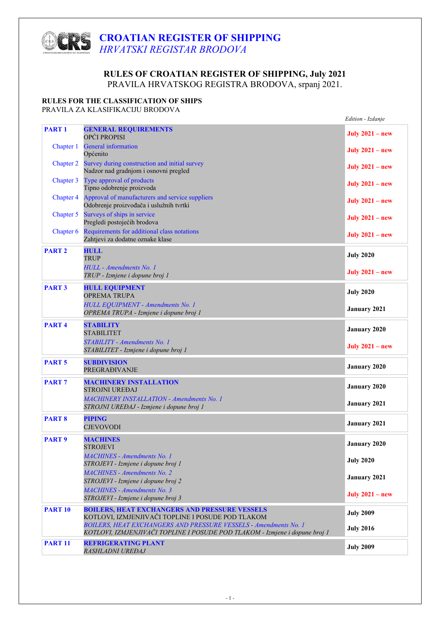# **CROATIAN REGISTER OF SHIPPING**  *HRVATSKI REGISTAR BRODOVA*

# **RULES OF CROATIAN REGISTER OF SHIPPING, July 2021** PRAVILA HRVATSKOG REGISTRA BRODOVA, srpanj 2021.

### **RULES FOR THE CLASSIFICATION OF SHIPS**

PRAVILA ZA KLASIFIKACIJU BRODOVA

|                   |                                                                                                                                                        | Edition - Izdanje      |
|-------------------|--------------------------------------------------------------------------------------------------------------------------------------------------------|------------------------|
| <b>PART1</b>      | <b>GENERAL REQUIREMENTS</b><br>OPĆI PROPISI                                                                                                            | July $2021 - new$      |
| Chapter 1         | <b>General</b> information<br>Općenito                                                                                                                 | July $2021 - new$      |
| Chapter 2         | Survey during construction and initial survey<br>Nadzor nad gradnjom i osnovni pregled                                                                 | July $2021 - new$      |
| Chapter 3         | Type approval of products<br>Tipno odobrenje proizvoda                                                                                                 | <b>July 2021 - new</b> |
| <b>Chapter 4</b>  | Approval of manufacturers and service suppliers<br>Odobrenje proizvođača i uslužnih tvrtki                                                             | July $2021 - new$      |
| Chapter 5         | Surveys of ships in service<br>Pregledi postojećih brodova                                                                                             | July $2021 - new$      |
| Chapter 6         | Requirements for additional class notations<br>Zahtjevi za dodatne oznake klase                                                                        | <b>July 2021 - new</b> |
| <b>PART 2</b>     | <b>HULL</b><br><b>TRUP</b>                                                                                                                             | <b>July 2020</b>       |
|                   | HULL - Amendments No. 1<br>TRUP - Izmjene i dopune broj 1                                                                                              | <b>July 2021 - new</b> |
| <b>PART 3</b>     | <b>HULL EQUIPMENT</b><br><b>OPREMA TRUPA</b>                                                                                                           | <b>July 2020</b>       |
|                   | <b>HULL EQUIPMENT - Amendments No. 1</b><br>OPREMA TRUPA - Izmjene i dopune broj 1                                                                     | <b>January 2021</b>    |
| PART <sub>4</sub> | <b>STABILITY</b><br><b>STABILITET</b>                                                                                                                  | <b>January 2020</b>    |
|                   | STABILITY - Amendments No. 1<br>STABILITET - Izmjene i dopune broj 1                                                                                   | July $2021 - new$      |
| <b>PART 5</b>     | <b>SUBDIVISION</b><br><b>PREGRAĐIVANJE</b>                                                                                                             | <b>January 2020</b>    |
| <b>PART7</b>      | <b>MACHINERY INSTALLATION</b><br><b>STROJNI UREĐAJ</b>                                                                                                 | <b>January 2020</b>    |
|                   | <b>MACHINERY INSTALLATION - Amendments No. 1</b><br>STROJNI UREĐAJ - Izmjene i dopune broj 1                                                           | <b>January 2021</b>    |
| <b>PART 8</b>     | <b>PIPING</b><br><b>CJEVOVODI</b>                                                                                                                      | <b>January 2021</b>    |
| <b>PART9</b>      | <b>MACHINES</b><br>STROJEVI                                                                                                                            | <b>January 2020</b>    |
|                   | MACHINES - Amendments No. 1<br>STROJEVI - Izmjene i dopune broj 1                                                                                      | <b>July 2020</b>       |
|                   | <b>MACHINES - Amendments No. 2</b><br>STROJEVI - Izmjene i dopune broj 2                                                                               | <b>January 2021</b>    |
|                   | <b>MACHINES - Amendments No. 3</b><br>STROJEVI - Izmjene i dopune broj 3                                                                               | July $2021 - new$      |
| <b>PART 10</b>    | <b>BOILERS, HEAT EXCHANGERS AND PRESSURE VESSELS</b><br>KOTLOVI, IZMJENJIVAČI TOPLINE I POSUDE POD TLAKOM                                              | <b>July 2009</b>       |
|                   | <b>BOILERS, HEAT EXCHANGERS AND PRESSURE VESSELS - Amendments No. 1</b><br>KOTLOVI, IZMJENJIVAČI TOPLINE I POSUDE POD TLAKOM - Izmjene i dopune broj 1 | <b>July 2016</b>       |
| <b>PART 11</b>    | <b>REFRIGERATING PLANT</b><br>RASHLADNI UREĐAJ                                                                                                         | <b>July 2009</b>       |
|                   |                                                                                                                                                        |                        |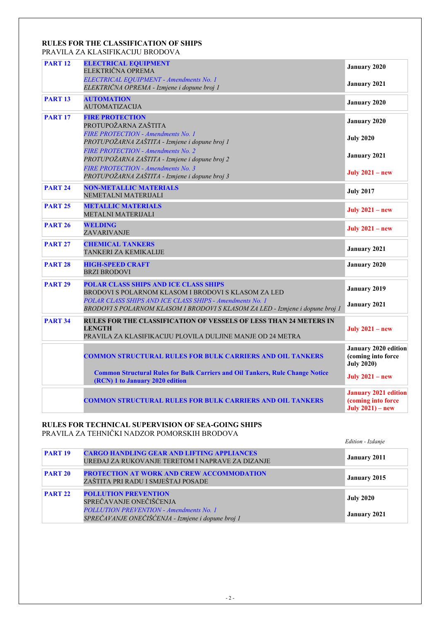### **RULES FOR THE CLASSIFICATION OF SHIPS** PRAVILA ZA KLASIFIKACIJU BRODOVA

| <b>PART 12</b> | <b>ELECTRICAL EQUIPMENT</b><br>ELEKTRIČNA OPREMA<br>ELECTRICAL EQUIPMENT - Amendments No. 1                                                      | <b>January 2020</b>                                                      |
|----------------|--------------------------------------------------------------------------------------------------------------------------------------------------|--------------------------------------------------------------------------|
|                | ELEKTRIČNA OPREMA - Izmjene i dopune broj 1                                                                                                      | <b>January 2021</b>                                                      |
| <b>PART 13</b> | <b>AUTOMATION</b><br><b>AUTOMATIZACIJA</b>                                                                                                       | <b>January 2020</b>                                                      |
| <b>PART 17</b> | <b>FIRE PROTECTION</b><br>PROTUPOŽARNA ZAŠTITA                                                                                                   | <b>January 2020</b>                                                      |
|                | <b>FIRE PROTECTION - Amendments No. 1</b><br>PROTUPOŽARNA ZAŠTITA - Izmjene i dopune broj 1                                                      | <b>July 2020</b>                                                         |
|                | <b>FIRE PROTECTION - Amendments No. 2</b><br>PROTUPOŽARNA ZAŠTITA - Izmjene i dopune broj 2                                                      | January 2021                                                             |
|                | <b>FIRE PROTECTION - Amendments No. 3</b><br>PROTUPOŽARNA ZAŠTITA - Izmjene i dopune broj 3                                                      | July $2021 - new$                                                        |
| <b>PART 24</b> | <b>NON-METALLIC MATERIALS</b><br>NEMETALNI MATERIJALI                                                                                            | <b>July 2017</b>                                                         |
| <b>PART 25</b> | <b>METALLIC MATERIALS</b><br><b>METALNI MATERIJALI</b>                                                                                           | July $2021 - new$                                                        |
| <b>PART 26</b> | <b>WELDING</b><br>ZAVARIVANJE                                                                                                                    | July $2021 - new$                                                        |
| <b>PART 27</b> | <b>CHEMICAL TANKERS</b><br>TANKERI ZA KEMIKALIJE                                                                                                 | January 2021                                                             |
| <b>PART 28</b> | <b>HIGH-SPEED CRAFT</b><br><b>BRZI BRODOVI</b>                                                                                                   | <b>January 2020</b>                                                      |
| <b>PART 29</b> | POLAR CLASS SHIPS AND ICE CLASS SHIPS<br>BRODOVI S POLARNOM KLASOM I BRODOVI S KLASOM ZA LED                                                     | <b>January 2019</b>                                                      |
|                | POLAR CLASS SHIPS AND ICE CLASS SHIPS - Amendments No. 1<br>BRODOVI S POLARNOM KLASOM I BRODOVI S KLASOM ZA LED - Izmjene i dopune broj 1        | January 2021                                                             |
| <b>PART 34</b> | RULES FOR THE CLASSIFICATION OF VESSELS OF LESS THAN 24 METERS IN<br><b>LENGTH</b><br>PRAVILA ZA KLASIFIKACIJU PLOVILA DULJINE MANJE OD 24 METRA | July $2021 - new$                                                        |
|                | <b>COMMON STRUCTURAL RULES FOR BULK CARRIERS AND OIL TANKERS</b>                                                                                 | January 2020 edition<br>(coming into force<br><b>July 2020)</b>          |
|                | <b>Common Structural Rules for Bulk Carriers and Oil Tankers, Rule Change Notice</b><br>(RCN) 1 to January 2020 edition                          | July $2021 - new$                                                        |
|                | <b>COMMON STRUCTURAL RULES FOR BULK CARRIERS AND OIL TANKERS</b>                                                                                 | <b>January 2021 edition</b><br>(coming into force<br>July $2021$ ) – new |

### **RULES FOR TECHNICAL SUPERVISION OF SEA-GOING SHIPS** PRAVILA ZA TEHNIČKI NADZOR POMORSKIH BRODOVA

 *Edition - Izdanje*

| <b>PART 19</b> | <b>CARGO HANDLING GEAR AND LIFTING APPLIANCES</b><br>UREĐAJ ZA RUKOVANJE TERETOM I NAPRAVE ZA DIZANJE                                                         | January 2011                     |
|----------------|---------------------------------------------------------------------------------------------------------------------------------------------------------------|----------------------------------|
| <b>PART 20</b> | <b>PROTECTION AT WORK AND CREW ACCOMMODATION</b><br>ZAŠTITA PRI RADU I SMJEŠTAJ POSADE                                                                        | January 2015                     |
| <b>PART 22</b> | <b>POLLUTION PREVENTION</b><br>SPREČAVANJE ONEČIŠĆENJA<br><b>POLLUTION PREVENTION - Amendments No. 1</b><br>SPREČAVANJE ONEČIŠĆENJA - Izmjene i dopune broj 1 | <b>July 2020</b><br>January 2021 |